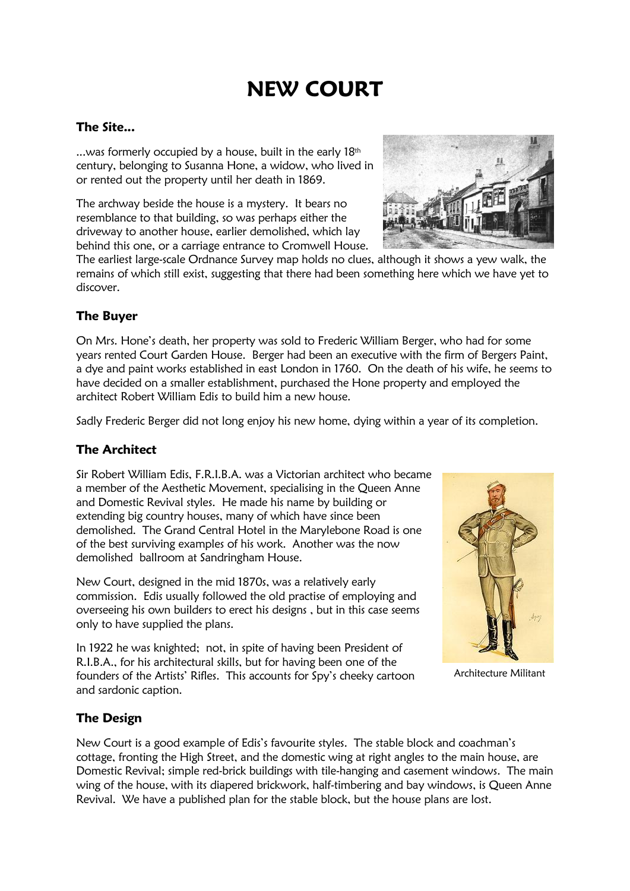# **NEW COURT**

# **The Site...**

...was formerly occupied by a house, built in the early  $18<sup>th</sup>$ century, belonging to Susanna Hone, a widow, who lived in or rented out the property until her death in 1869.

The archway beside the house is a mystery. It bears no resemblance to that building, so was perhaps either the driveway to another house, earlier demolished, which lay behind this one, or a carriage entrance to Cromwell House.

The earliest large-scale Ordnance Survey map holds no clues, although it shows a yew walk, the remains of which still exist, suggesting that there had been something here which we have yet to discover.

# **The Buyer**

On Mrs. Hone's death, her property was sold to Frederic William Berger, who had for some years rented Court Garden House. Berger had been an executive with the firm of Bergers Paint, a dye and paint works established in east London in 1760. On the death of his wife, he seems to have decided on a smaller establishment, purchased the Hone property and employed the architect Robert William Edis to build him a new house.

Sadly Frederic Berger did not long enjoy his new home, dying within a year of its completion.

# **The Architect**

Sir Robert William Edis, F.R.I.B.A. was a Victorian architect who became a member of the Aesthetic Movement, specialising in the Queen Anne and Domestic Revival styles. He made his name by building or extending big country houses, many of which have since been demolished. The Grand Central Hotel in the Marylebone Road is one of the best surviving examples of his work. Another was the now demolished ballroom at Sandringham House.

New Court, designed in the mid 1870s, was a relatively early commission. Edis usually followed the old practise of employing and overseeing his own builders to erect his designs , but in this case seems only to have supplied the plans.

In 1922 he was knighted; not, in spite of having been President of R.I.B.A., for his architectural skills, but for having been one of the founders of the Artists' Rifles. This accounts for Spy's cheeky cartoon and sardonic caption.



Architecture Militant

# **The Design**

New Court is a good example of Edis's favourite styles. The stable block and coachman's cottage, fronting the High Street, and the domestic wing at right angles to the main house, are Domestic Revival; simple red-brick buildings with tile-hanging and casement windows. The main wing of the house, with its diapered brickwork, half-timbering and bay windows, is Queen Anne Revival. We have a published plan for the stable block, but the house plans are lost.

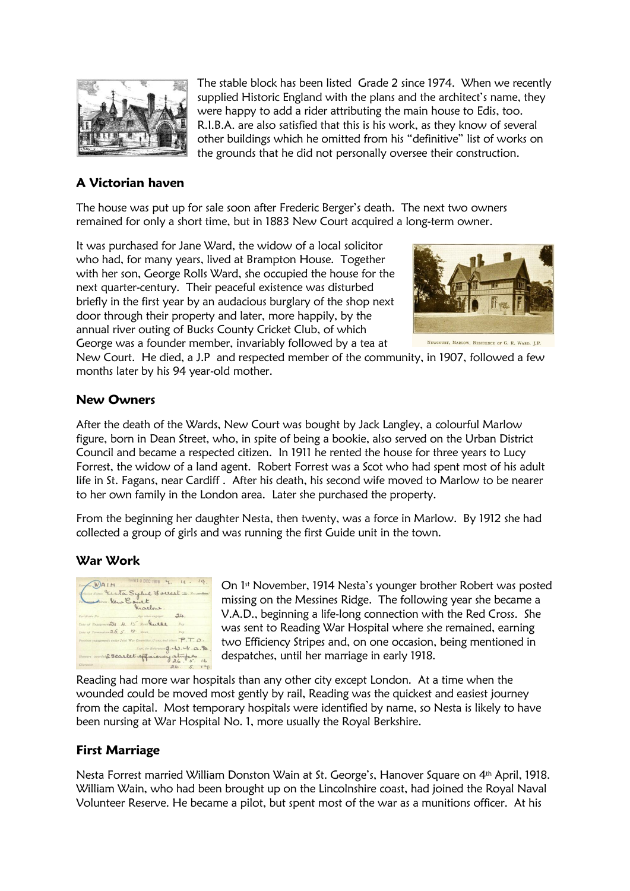

The stable block has been listed Grade 2 since 1974. When we recently supplied Historic England with the plans and the architect's name, they were happy to add a rider attributing the main house to Edis, too. R.I.B.A. are also satisfied that this is his work, as they know of several other buildings which he omitted from his "definitive" list of works on the grounds that he did not personally oversee their construction.

# **A Victorian haven**

The house was put up for sale soon after Frederic Berger's death. The next two owners remained for only a short time, but in 1883 New Court acquired a long-term owner.

It was purchased for Jane Ward, the widow of a local solicitor who had, for many years, lived at Brampton House. Together with her son, George Rolls Ward, she occupied the house for the next quarter-century. Their peaceful existence was disturbed briefly in the first year by an audacious burglary of the shop next door through their property and later, more happily, by the annual river outing of Bucks County Cricket Club, of which George was a founder member, invariably followed by a tea at



NEWCOURT, MARLOW, RESIDENCE OF G. R. WARD, I.P.

New Court. He died, a J.P and respected member of the community, in 1907, followed a few months later by his 94 year-old mother.

# **New Owners**

After the death of the Wards, New Court was bought by Jack Langley, a colourful Marlow figure, born in Dean Street, who, in spite of being a bookie, also served on the Urban District Council and became a respected citizen. In 1911 he rented the house for three years to Lucy Forrest, the widow of a land agent. Robert Forrest was a Scot who had spent most of his adult life in St. Fagans, near Cardiff . After his death, his second wife moved to Marlow to be nearer to her own family in the London area. Later she purchased the property.

From the beginning her daughter Nesta, then twenty, was a force in Marlow. By 1912 she had collected a group of girls and was running the first Guide unit in the town.

## **War Work**



On 1<sup>st</sup> November, 1914 Nesta's younger brother Robert was posted missing on the Messines Ridge. The following year she became a V.A.D., beginning a life-long connection with the Red Cross. She was sent to Reading War Hospital where she remained, earning two Efficiency Stripes and, on one occasion, being mentioned in despatches, until her marriage in early 1918.

Reading had more war hospitals than any other city except London. At a time when the wounded could be moved most gently by rail, Reading was the quickest and easiest journey from the capital. Most temporary hospitals were identified by name, so Nesta is likely to have been nursing at War Hospital No. 1, more usually the Royal Berkshire.

## **First Marriage**

Nesta Forrest married William Donston Wain at St. George's, Hanover Square on 4th April, 1918. William Wain, who had been brought up on the Lincolnshire coast, had joined the Royal Naval Volunteer Reserve. He became a pilot, but spent most of the war as a munitions officer. At his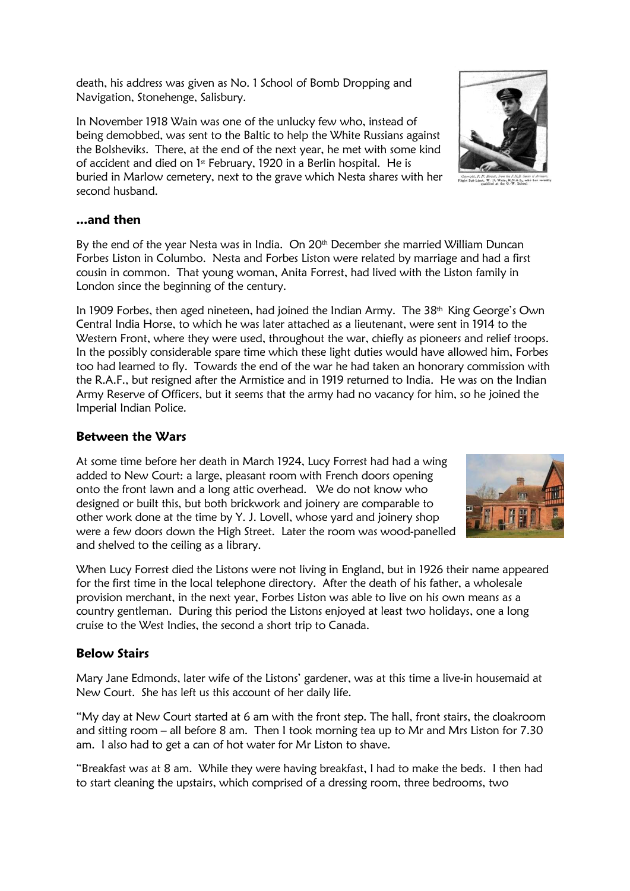death, his address was given as No. 1 School of Bomb Dropping and Navigation, Stonehenge, Salisbury.

In November 1918 Wain was one of the unlucky few who, instead of being demobbed, was sent to the Baltic to help the White Russians against the Bolsheviks. There, at the end of the next year, he met with some kind of accident and died on 1<sup>st</sup> February, 1920 in a Berlin hospital. He is buried in Marlow cemetery, next to the grave which Nesta shares with her second husband.

#### **...and then**

By the end of the year Nesta was in India. On 20<sup>th</sup> December she married William Duncan Forbes Liston in Columbo. Nesta and Forbes Liston were related by marriage and had a first cousin in common. That young woman, Anita Forrest, had lived with the Liston family in London since the beginning of the century.

In 1909 Forbes, then aged nineteen, had joined the Indian Army. The 38<sup>th</sup> King George's Own Central India Horse, to which he was later attached as a lieutenant, were sent in 1914 to the Western Front, where they were used, throughout the war, chiefly as pioneers and relief troops. In the possibly considerable spare time which these light duties would have allowed him, Forbes too had learned to fly. Towards the end of the war he had taken an honorary commission with the R.A.F., but resigned after the Armistice and in 1919 returned to India. He was on the Indian Army Reserve of Officers, but it seems that the army had no vacancy for him, so he joined the Imperial Indian Police.

#### **Between the Wars**

At some time before her death in March 1924, Lucy Forrest had had a wing added to New Court: a large, pleasant room with French doors opening onto the front lawn and a long attic overhead. We do not know who designed or built this, but both brickwork and joinery are comparable to other work done at the time by Y. J. Lovell, whose yard and joinery shop were a few doors down the High Street. Later the room was wood-panelled and shelved to the ceiling as a library.

When Lucy Forrest died the Listons were not living in England, but in 1926 their name appeared for the first time in the local telephone directory. After the death of his father, a wholesale provision merchant, in the next year, Forbes Liston was able to live on his own means as a country gentleman. During this period the Listons enjoyed at least two holidays, one a long cruise to the West Indies, the second a short trip to Canada.

## **Below Stairs**

Mary Jane Edmonds, later wife of the Listons' gardener, was at this time a live-in housemaid at New Court. She has left us this account of her daily life.

"My day at New Court started at 6 am with the front step. The hall, front stairs, the cloakroom and sitting room – all before 8 am. Then I took morning tea up to Mr and Mrs Liston for 7.30 am. I also had to get a can of hot water for Mr Liston to shave.

"Breakfast was at 8 am. While they were having breakfast, I had to make the beds. I then had to start cleaning the upstairs, which comprised of a dressing room, three bedrooms, two



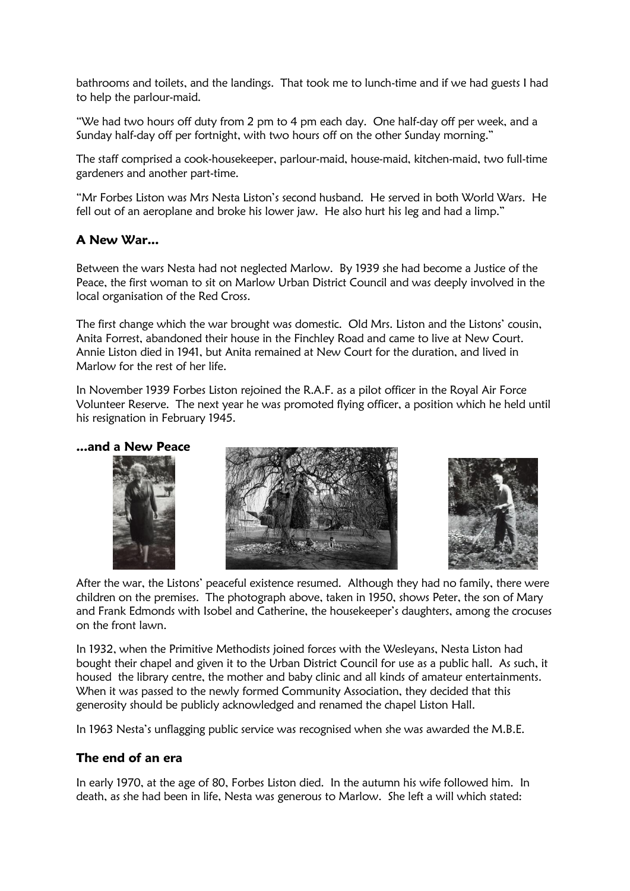bathrooms and toilets, and the landings. That took me to lunch-time and if we had guests I had to help the parlour-maid.

"We had two hours off duty from 2 pm to 4 pm each day. One half-day off per week, and a Sunday half-day off per fortnight, with two hours off on the other Sunday morning."

The staff comprised a cook-housekeeper, parlour-maid, house-maid, kitchen-maid, two full-time gardeners and another part-time.

"Mr Forbes Liston was Mrs Nesta Liston's second husband. He served in both World Wars. He fell out of an aeroplane and broke his lower jaw. He also hurt his leg and had a limp."

## **A New War...**

Between the wars Nesta had not neglected Marlow. By 1939 she had become a Justice of the Peace, the first woman to sit on Marlow Urban District Council and was deeply involved in the local organisation of the Red Cross.

The first change which the war brought was domestic. Old Mrs. Liston and the Listons' cousin, Anita Forrest, abandoned their house in the Finchley Road and came to live at New Court. Annie Liston died in 1941, but Anita remained at New Court for the duration, and lived in Marlow for the rest of her life.

In November 1939 Forbes Liston rejoined the R.A.F. as a pilot officer in the Royal Air Force Volunteer Reserve. The next year he was promoted flying officer, a position which he held until his resignation in February 1945.

#### **...and a New Peace**





After the war, the Listons' peaceful existence resumed. Although they had no family, there were children on the premises. The photograph above, taken in 1950, shows Peter, the son of Mary and Frank Edmonds with Isobel and Catherine, the housekeeper's daughters, among the crocuses on the front lawn.

In 1932, when the Primitive Methodists joined forces with the Wesleyans, Nesta Liston had bought their chapel and given it to the Urban District Council for use as a public hall. As such, it housed the library centre, the mother and baby clinic and all kinds of amateur entertainments. When it was passed to the newly formed Community Association, they decided that this generosity should be publicly acknowledged and renamed the chapel Liston Hall.

In 1963 Nesta's unflagging public service was recognised when she was awarded the M.B.E.

#### **The end of an era**

In early 1970, at the age of 80, Forbes Liston died. In the autumn his wife followed him. In death, as she had been in life, Nesta was generous to Marlow. She left a will which stated: